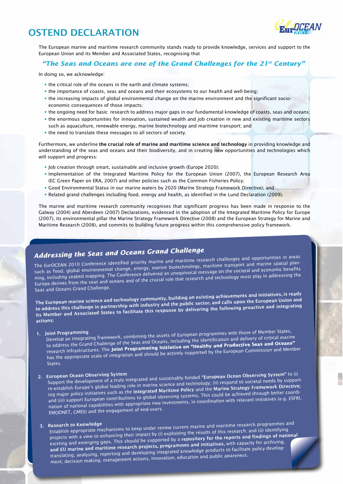# Ostend Declaration



The European marine and maritime research community stands ready to provide knowledge, services and support to the European Union and its Member and Associated States, recognising that

## *"The Seas and Oceans are one of the Grand Challenges for the 21st Century"*.

In doing so, we acknowledge:

- the critical role of the oceans in the earth and climate systems;
- the importance of coasts, seas and oceans and their ecosystems to our health and well-being;
- the increasing impacts of global environmental change on the marine environment and the significant socioeconomic consequences of those impacts;
- the ongoing need for basic research to address major gaps in our fundamental knowledge of coasts, seas and oceans;
- the enormous opportunities for innovation, sustained wealth and job creation in new and existing maritime sectors such as aquaculture, renewable energy, marine biotechnology and maritime transport; and
- the need to translate these messages to all sectors of society.

Furthermore, we underline the crucial role of marine and maritime science and technology in providing knowledge and understanding of the seas and oceans and their biodiversity, and in creating new opportunities and technologies which will support and progress:

- Job creation through smart, sustainable and inclusive growth (Europe 2020);
- Implementation of the Integrated Maritime Policy for the European Union (2007), the European Research Area (EC Green Paper on ERA, 2007) and other policies such as the Common Fisheries Policy;
- Good Environmental Status in our marine waters by 2020 (Marine Strategy Framework Directive); and
- Related grand challenges including food, energy and health, as identified in the Lund Declaration (2009).

The marine and maritime research community recognises that significant progress has been made in response to the Galway (2004) and Aberdeen (2007) Declarations, evidenced in the adoption of the Integrated Maritime Policy for Europe (2007), its environmental pillar the Marine Strategy Framework Directive (2008) and the European Strategy for Marine and Maritime Research (2008), and commits to building future progress within this comprehensive policy framework.

# *Addressing the Seas and Oceans Grand Challenge*

The EurOCEAN 2010 Conference identified priority marine and maritime research challenges and opportunities in areas such as food, global environmental change, energy, marine biotechnology, maritime transport and marine spatial planning, including seabed mapping. The Conference delivered an unequivocal message on the societal and economic benefits Europe derives from the seas and oceans and of the crucial role that research and technology must play in addressing the Seas and Oceans Grand Challenge.

The European marine science and technology community, building on existing achievements and initiatives, is ready to address this challenge in partnership with industry and the public sector, and calls upon the European Union and its Member and Associated States to facilitate this response by delivering the following proactive and integrating actions:

### 1. Joint Programming

Develop an integrating framework, combining the assets of European programmes with those of Member States, to address the Grand Challenge of the Seas and Oceans, including the identification and delivery of critical marine research infrastructures. The **Joint Programming Initiative on "Healthy and Productive Seas and Oceans"** has the appropriate scale of integration and should be actively supported by the European Commission and Member States.

# 2. European Ocean Observing System

Support the development of a truly integrated and sustainably funded "European Ocean Observing System" to (i) re-establish Europe's global leading role in marine science and technology; (ii) respond to societal needs by supporting major policy initiatives such as the Integrated Maritime Policy and the Marine Strategy Framework Directive; and (iii) support European contributions to global observing systems. This could be achieved through better coordination of national capabilities with appropriate new investments, in coordination with relevant initiatives (e.g. ESFRI, EMODNET, GMES) and the engagement of end-users.

# 3. Research to Knowledge

Establish appropriate mechanisms to keep under review current marine and maritime research programmes an<sup>d</sup> projects with a view to enhancing their impact by (i) exploiting the results of this research; and (ii) identifying existing and emerging gaps. This should be supported by a repository for the reports and findings of national and EU marine and maritime research projects, programmes and initiatives, with capacity for archiving, translating, analysing, reporting and developing integrated knowledge products to facilitate policy development, decision making, management actions, innovation, education and public awareness.